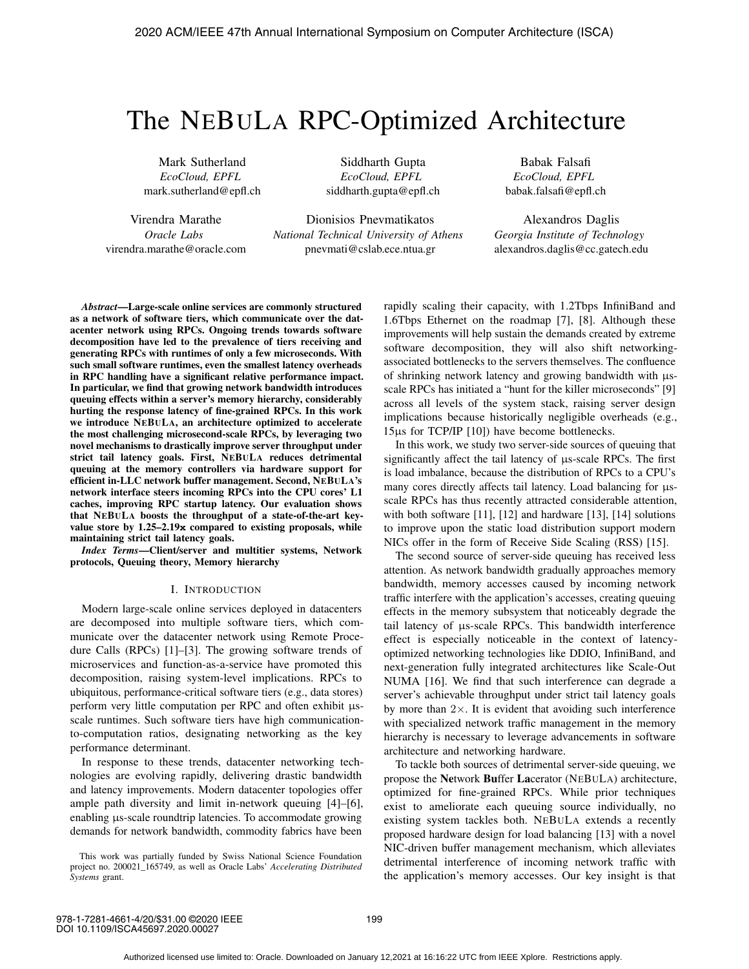# The NEBULA RPC-Optimized Architecture

Mark Sutherland *EcoCloud, EPFL* mark.sutherland@epfl.ch

Virendra Marathe *Oracle Labs* virendra.marathe@oracle.com

Siddharth Gupta *EcoCloud, EPFL* siddharth.gupta@epfl.ch

Dionisios Pnevmatikatos *National Technical University of Athens* pnevmati@cslab.ece.ntua.gr

Babak Falsafi *EcoCloud, EPFL* babak.falsafi@epfl.ch

Alexandros Daglis *Georgia Institute of Technology* alexandros.daglis@cc.gatech.edu

*Abstract*—Large-scale online services are commonly structured as a network of software tiers, which communicate over the datacenter network using RPCs. Ongoing trends towards software decomposition have led to the prevalence of tiers receiving and generating RPCs with runtimes of only a few microseconds. With such small software runtimes, even the smallest latency overheads in RPC handling have a significant relative performance impact. In particular, we find that growing network bandwidth introduces queuing effects within a server's memory hierarchy, considerably hurting the response latency of fine-grained RPCs. In this work we introduce NEBULA, an architecture optimized to accelerate the most challenging microsecond-scale RPCs, by leveraging two novel mechanisms to drastically improve server throughput under strict tail latency goals. First, NEBULA reduces detrimental queuing at the memory controllers via hardware support for efficient in-LLC network buffer management. Second, NEBULA's network interface steers incoming RPCs into the CPU cores' L1 caches, improving RPC startup latency. Our evaluation shows that NEBULA boosts the throughput of a state-of-the-art keyvalue store by 1.25–2.19**x** compared to existing proposals, while maintaining strict tail latency goals.

*Index Terms*—Client/server and multitier systems, Network protocols, Queuing theory, Memory hierarchy

#### I. INTRODUCTION

Modern large-scale online services deployed in datacenters are decomposed into multiple software tiers, which communicate over the datacenter network using Remote Procedure Calls (RPCs) [1]–[3]. The growing software trends of microservices and function-as-a-service have promoted this decomposition, raising system-level implications. RPCs to ubiquitous, performance-critical software tiers (e.g., data stores) perform very little computation per RPC and often exhibit μsscale runtimes. Such software tiers have high communicationto-computation ratios, designating networking as the key performance determinant.

In response to these trends, datacenter networking technologies are evolving rapidly, delivering drastic bandwidth and latency improvements. Modern datacenter topologies offer ample path diversity and limit in-network queuing [4]–[6], enabling μs-scale roundtrip latencies. To accommodate growing demands for network bandwidth, commodity fabrics have been

This work was partially funded by Swiss National Science Foundation project no. 200021\_165749, as well as Oracle Labs' *Accelerating Distributed Systems* grant.

rapidly scaling their capacity, with 1.2Tbps InfiniBand and 1.6Tbps Ethernet on the roadmap [7], [8]. Although these improvements will help sustain the demands created by extreme software decomposition, they will also shift networkingassociated bottlenecks to the servers themselves. The confluence of shrinking network latency and growing bandwidth with μsscale RPCs has initiated a "hunt for the killer microseconds" [9] across all levels of the system stack, raising server design implications because historically negligible overheads (e.g., 15μs for TCP/IP [10]) have become bottlenecks.

In this work, we study two server-side sources of queuing that significantly affect the tail latency of μs-scale RPCs. The first is load imbalance, because the distribution of RPCs to a CPU's many cores directly affects tail latency. Load balancing for μsscale RPCs has thus recently attracted considerable attention, with both software [11], [12] and hardware [13], [14] solutions to improve upon the static load distribution support modern NICs offer in the form of Receive Side Scaling (RSS) [15].

The second source of server-side queuing has received less attention. As network bandwidth gradually approaches memory bandwidth, memory accesses caused by incoming network traffic interfere with the application's accesses, creating queuing effects in the memory subsystem that noticeably degrade the tail latency of μs-scale RPCs. This bandwidth interference effect is especially noticeable in the context of latencyoptimized networking technologies like DDIO, InfiniBand, and next-generation fully integrated architectures like Scale-Out NUMA [16]. We find that such interference can degrade a server's achievable throughput under strict tail latency goals by more than  $2\times$ . It is evident that avoiding such interference with specialized network traffic management in the memory hierarchy is necessary to leverage advancements in software architecture and networking hardware.

To tackle both sources of detrimental server-side queuing, we propose the Network Buffer Lacerator (NEBULA) architecture, optimized for fine-grained RPCs. While prior techniques exist to ameliorate each queuing source individually, no existing system tackles both. NEBULA extends a recently proposed hardware design for load balancing [13] with a novel NIC-driven buffer management mechanism, which alleviates detrimental interference of incoming network traffic with the application's memory accesses. Our key insight is that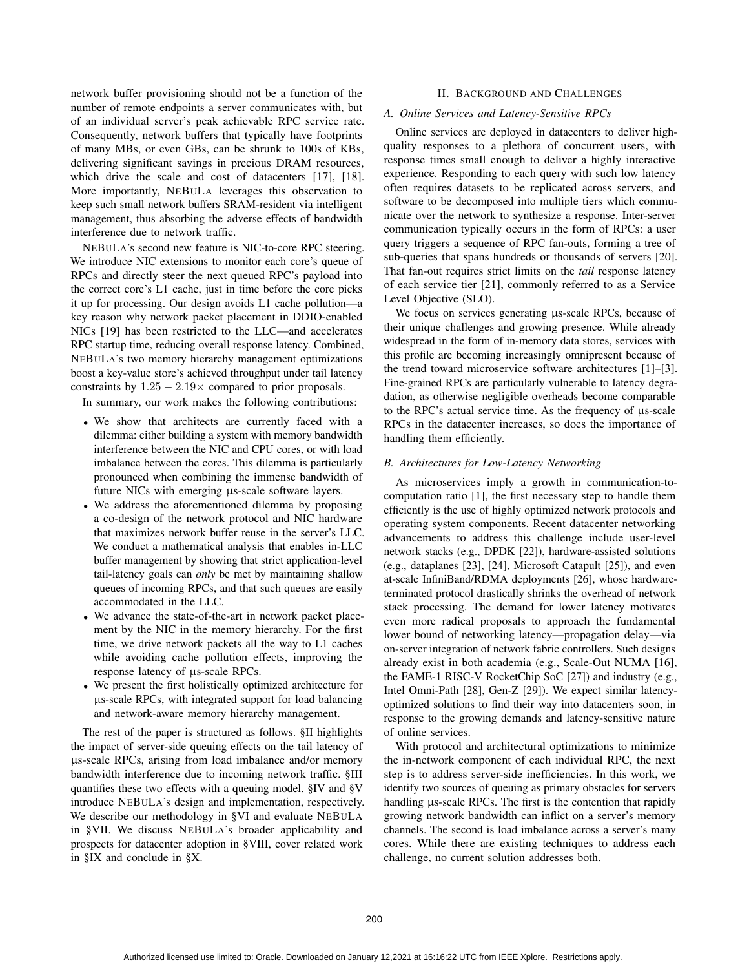network buffer provisioning should not be a function of the number of remote endpoints a server communicates with, but of an individual server's peak achievable RPC service rate. Consequently, network buffers that typically have footprints of many MBs, or even GBs, can be shrunk to 100s of KBs, delivering significant savings in precious DRAM resources, which drive the scale and cost of datacenters [17], [18]. More importantly, NEBULA leverages this observation to keep such small network buffers SRAM-resident via intelligent management, thus absorbing the adverse effects of bandwidth interference due to network traffic.

NEBULA's second new feature is NIC-to-core RPC steering. We introduce NIC extensions to monitor each core's queue of RPCs and directly steer the next queued RPC's payload into the correct core's L1 cache, just in time before the core picks it up for processing. Our design avoids L1 cache pollution—a key reason why network packet placement in DDIO-enabled NICs [19] has been restricted to the LLC—and accelerates RPC startup time, reducing overall response latency. Combined, NEBULA's two memory hierarchy management optimizations boost a key-value store's achieved throughput under tail latency constraints by  $1.25 - 2.19 \times$  compared to prior proposals.

In summary, our work makes the following contributions:

- We show that architects are currently faced with a dilemma: either building a system with memory bandwidth interference between the NIC and CPU cores, or with load imbalance between the cores. This dilemma is particularly pronounced when combining the immense bandwidth of future NICs with emerging μs-scale software layers.
- We address the aforementioned dilemma by proposing a co-design of the network protocol and NIC hardware that maximizes network buffer reuse in the server's LLC. We conduct a mathematical analysis that enables in-LLC buffer management by showing that strict application-level tail-latency goals can *only* be met by maintaining shallow queues of incoming RPCs, and that such queues are easily accommodated in the LLC.
- We advance the state-of-the-art in network packet placement by the NIC in the memory hierarchy. For the first time, we drive network packets all the way to L1 caches while avoiding cache pollution effects, improving the response latency of μs-scale RPCs.
- We present the first holistically optimized architecture for μs-scale RPCs, with integrated support for load balancing and network-aware memory hierarchy management.

The rest of the paper is structured as follows. §II highlights the impact of server-side queuing effects on the tail latency of μs-scale RPCs, arising from load imbalance and/or memory bandwidth interference due to incoming network traffic. §III quantifies these two effects with a queuing model. §IV and §V introduce NEBULA's design and implementation, respectively. We describe our methodology in §VI and evaluate NEBULA in §VII. We discuss NEBULA's broader applicability and prospects for datacenter adoption in §VIII, cover related work in §IX and conclude in §X.

## II. BACKGROUND AND CHALLENGES

# *A. Online Services and Latency-Sensitive RPCs*

Online services are deployed in datacenters to deliver highquality responses to a plethora of concurrent users, with response times small enough to deliver a highly interactive experience. Responding to each query with such low latency often requires datasets to be replicated across servers, and software to be decomposed into multiple tiers which communicate over the network to synthesize a response. Inter-server communication typically occurs in the form of RPCs: a user query triggers a sequence of RPC fan-outs, forming a tree of sub-queries that spans hundreds or thousands of servers [20]. That fan-out requires strict limits on the *tail* response latency of each service tier [21], commonly referred to as a Service Level Objective (SLO).

We focus on services generating μs-scale RPCs, because of their unique challenges and growing presence. While already widespread in the form of in-memory data stores, services with this profile are becoming increasingly omnipresent because of the trend toward microservice software architectures [1]–[3]. Fine-grained RPCs are particularly vulnerable to latency degradation, as otherwise negligible overheads become comparable to the RPC's actual service time. As the frequency of μs-scale RPCs in the datacenter increases, so does the importance of handling them efficiently.

## *B. Architectures for Low-Latency Networking*

As microservices imply a growth in communication-tocomputation ratio [1], the first necessary step to handle them efficiently is the use of highly optimized network protocols and operating system components. Recent datacenter networking advancements to address this challenge include user-level network stacks (e.g., DPDK [22]), hardware-assisted solutions (e.g., dataplanes [23], [24], Microsoft Catapult [25]), and even at-scale InfiniBand/RDMA deployments [26], whose hardwareterminated protocol drastically shrinks the overhead of network stack processing. The demand for lower latency motivates even more radical proposals to approach the fundamental lower bound of networking latency—propagation delay—via on-server integration of network fabric controllers. Such designs already exist in both academia (e.g., Scale-Out NUMA [16], the FAME-1 RISC-V RocketChip SoC [27]) and industry (e.g., Intel Omni-Path [28], Gen-Z [29]). We expect similar latencyoptimized solutions to find their way into datacenters soon, in response to the growing demands and latency-sensitive nature of online services.

With protocol and architectural optimizations to minimize the in-network component of each individual RPC, the next step is to address server-side inefficiencies. In this work, we identify two sources of queuing as primary obstacles for servers handling μs-scale RPCs. The first is the contention that rapidly growing network bandwidth can inflict on a server's memory channels. The second is load imbalance across a server's many cores. While there are existing techniques to address each challenge, no current solution addresses both.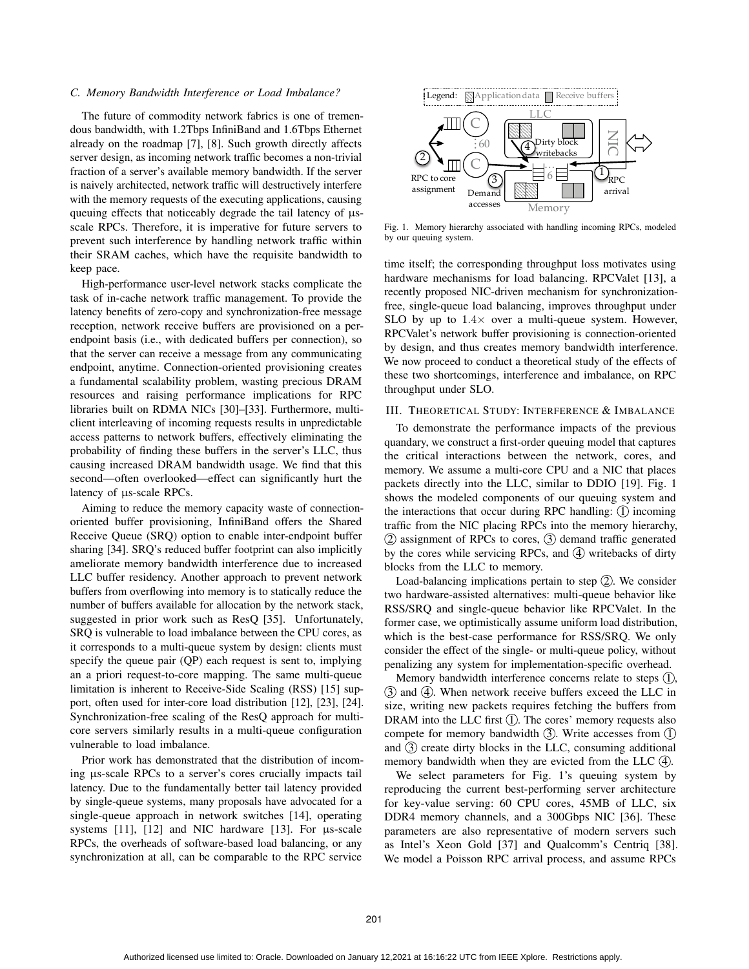#### *C. Memory Bandwidth Interference or Load Imbalance?*

The future of commodity network fabrics is one of tremendous bandwidth, with 1.2Tbps InfiniBand and 1.6Tbps Ethernet already on the roadmap [7], [8]. Such growth directly affects server design, as incoming network traffic becomes a non-trivial fraction of a server's available memory bandwidth. If the server is naively architected, network traffic will destructively interfere with the memory requests of the executing applications, causing queuing effects that noticeably degrade the tail latency of μsscale RPCs. Therefore, it is imperative for future servers to prevent such interference by handling network traffic within their SRAM caches, which have the requisite bandwidth to keep pace.

High-performance user-level network stacks complicate the task of in-cache network traffic management. To provide the latency benefits of zero-copy and synchronization-free message reception, network receive buffers are provisioned on a perendpoint basis (i.e., with dedicated buffers per connection), so that the server can receive a message from any communicating endpoint, anytime. Connection-oriented provisioning creates a fundamental scalability problem, wasting precious DRAM resources and raising performance implications for RPC libraries built on RDMA NICs [30]–[33]. Furthermore, multiclient interleaving of incoming requests results in unpredictable access patterns to network buffers, effectively eliminating the probability of finding these buffers in the server's LLC, thus causing increased DRAM bandwidth usage. We find that this second—often overlooked—effect can significantly hurt the latency of μs-scale RPCs.

Aiming to reduce the memory capacity waste of connectionoriented buffer provisioning, InfiniBand offers the Shared Receive Queue (SRQ) option to enable inter-endpoint buffer sharing [34]. SRQ's reduced buffer footprint can also implicitly ameliorate memory bandwidth interference due to increased LLC buffer residency. Another approach to prevent network buffers from overflowing into memory is to statically reduce the number of buffers available for allocation by the network stack, suggested in prior work such as ResQ [35]. Unfortunately, SRQ is vulnerable to load imbalance between the CPU cores, as it corresponds to a multi-queue system by design: clients must specify the queue pair (QP) each request is sent to, implying an a priori request-to-core mapping. The same multi-queue limitation is inherent to Receive-Side Scaling (RSS) [15] support, often used for inter-core load distribution [12], [23], [24]. Synchronization-free scaling of the ResQ approach for multicore servers similarly results in a multi-queue configuration vulnerable to load imbalance.

Prior work has demonstrated that the distribution of incoming μs-scale RPCs to a server's cores crucially impacts tail latency. Due to the fundamentally better tail latency provided by single-queue systems, many proposals have advocated for a single-queue approach in network switches [14], operating systems [11], [12] and NIC hardware [13]. For μs-scale RPCs, the overheads of software-based load balancing, or any synchronization at all, can be comparable to the RPC service



Fig. 1. Memory hierarchy associated with handling incoming RPCs, modeled by our queuing system.

time itself; the corresponding throughput loss motivates using hardware mechanisms for load balancing. RPCValet [13], a recently proposed NIC-driven mechanism for synchronizationfree, single-queue load balancing, improves throughput under SLO by up to  $1.4\times$  over a multi-queue system. However, RPCValet's network buffer provisioning is connection-oriented by design, and thus creates memory bandwidth interference. We now proceed to conduct a theoretical study of the effects of these two shortcomings, interference and imbalance, on RPC throughput under SLO.

## III. THEORETICAL STUDY: INTERFERENCE & IMBALANCE

To demonstrate the performance impacts of the previous quandary, we construct a first-order queuing model that captures the critical interactions between the network, cores, and memory. We assume a multi-core CPU and a NIC that places packets directly into the LLC, similar to DDIO [19]. Fig. 1 shows the modeled components of our queuing system and the interactions that occur during RPC handling:  $\bigcirc$  incoming traffic from the NIC placing RPCs into the memory hierarchy, 2 assignment of RPCs to cores, 3 demand traffic generated by the cores while servicing RPCs, and  $(4)$  writebacks of dirty blocks from the LLC to memory.

Load-balancing implications pertain to step  $(2)$ . We consider two hardware-assisted alternatives: multi-queue behavior like RSS/SRQ and single-queue behavior like RPCValet. In the former case, we optimistically assume uniform load distribution, which is the best-case performance for RSS/SRQ. We only consider the effect of the single- or multi-queue policy, without penalizing any system for implementation-specific overhead.

Memory bandwidth interference concerns relate to steps  $(1)$ ,  $(3)$  and  $(4)$ . When network receive buffers exceed the LLC in size, writing new packets requires fetching the buffers from DRAM into the LLC first  $(1)$ . The cores' memory requests also compete for memory bandwidth  $(3)$ . Write accesses from  $(1)$ and  $\circled{3}$  create dirty blocks in the LLC, consuming additional memory bandwidth when they are evicted from the LLC  $(4)$ .

We select parameters for Fig. 1's queuing system by reproducing the current best-performing server architecture for key-value serving: 60 CPU cores, 45MB of LLC, six DDR4 memory channels, and a 300Gbps NIC [36]. These parameters are also representative of modern servers such as Intel's Xeon Gold [37] and Qualcomm's Centriq [38]. We model a Poisson RPC arrival process, and assume RPCs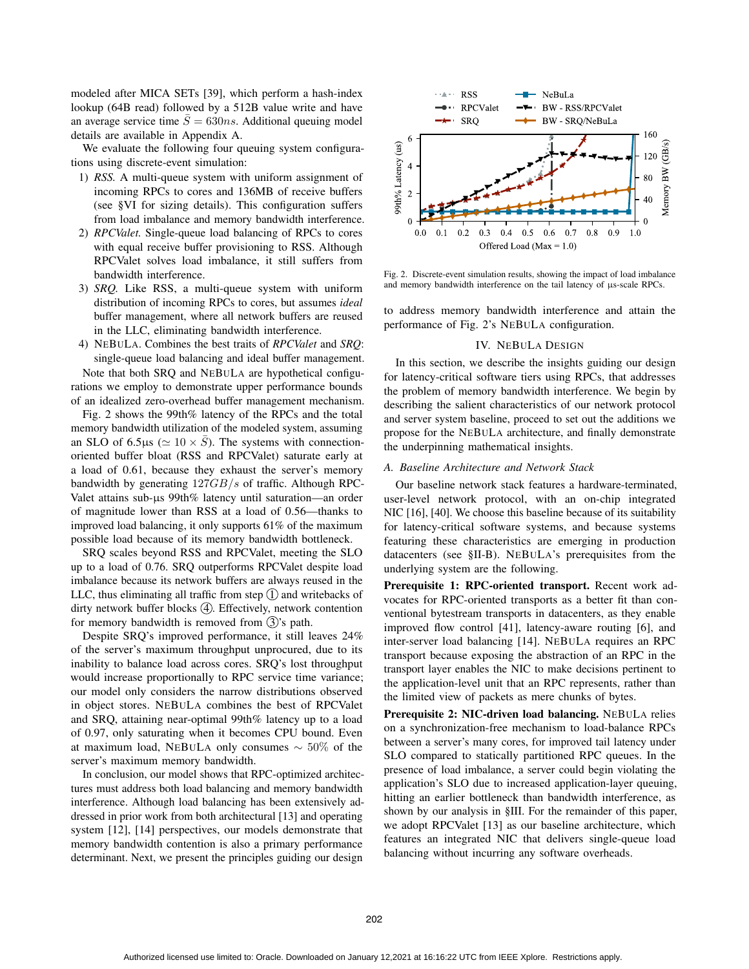modeled after MICA SETs [39], which perform a hash-index lookup (64B read) followed by a 512B value write and have an average service time  $\bar{S} = 630ns$ . Additional queuing model details are available in Appendix A.

We evaluate the following four queuing system configurations using discrete-event simulation:

- 1) *RSS.* A multi-queue system with uniform assignment of incoming RPCs to cores and 136MB of receive buffers (see §VI for sizing details). This configuration suffers from load imbalance and memory bandwidth interference.
- 2) *RPCValet.* Single-queue load balancing of RPCs to cores with equal receive buffer provisioning to RSS. Although RPCValet solves load imbalance, it still suffers from bandwidth interference.
- 3) *SRQ.* Like RSS, a multi-queue system with uniform distribution of incoming RPCs to cores, but assumes *ideal* buffer management, where all network buffers are reused in the LLC, eliminating bandwidth interference.
- 4) NEBULA. Combines the best traits of *RPCValet* and *SRQ*: single-queue load balancing and ideal buffer management. Note that both SRQ and NEBULA are hypothetical configurations we employ to demonstrate upper performance bounds of an idealized zero-overhead buffer management mechanism.

Fig. 2 shows the 99th% latency of the RPCs and the total memory bandwidth utilization of the modeled system, assuming an SLO of 6.5μs ( $\simeq 10 \times \overline{S}$ ). The systems with connection-<br>oriented buffer bloat (RSS and RPCValet) saturate early at oriented buffer bloat (RSS and RPCValet) saturate early at a load of 0.61, because they exhaust the server's memory bandwidth by generating <sup>127</sup>GB/s of traffic. Although RPC-Valet attains sub-μs 99th% latency until saturation—an order of magnitude lower than RSS at a load of 0.56—thanks to improved load balancing, it only supports 61% of the maximum possible load because of its memory bandwidth bottleneck.

SRQ scales beyond RSS and RPCValet, meeting the SLO up to a load of 0.76. SRQ outperforms RPCValet despite load imbalance because its network buffers are always reused in the LLC, thus eliminating all traffic from step  $(1)$  and writebacks of dirty network buffer blocks  $(4)$ . Effectively, network contention for memory bandwidth is removed from  $(3)$ 's path.

Despite SRQ's improved performance, it still leaves 24% of the server's maximum throughput unprocured, due to its inability to balance load across cores. SRQ's lost throughput would increase proportionally to RPC service time variance; our model only considers the narrow distributions observed in object stores. NEBULA combines the best of RPCValet and SRQ, attaining near-optimal 99th% latency up to a load of 0.97, only saturating when it becomes CPU bound. Even at maximum load, NEBULA only consumes ∼ 50% of the server's maximum memory bandwidth.

In conclusion, our model shows that RPC-optimized architectures must address both load balancing and memory bandwidth interference. Although load balancing has been extensively addressed in prior work from both architectural [13] and operating system [12], [14] perspectives, our models demonstrate that memory bandwidth contention is also a primary performance determinant. Next, we present the principles guiding our design



Fig. 2. Discrete-event simulation results, showing the impact of load imbalance and memory bandwidth interference on the tail latency of μs-scale RPCs.

to address memory bandwidth interference and attain the performance of Fig. 2's NEBULA configuration.

#### IV. NEBULA DESIGN

In this section, we describe the insights guiding our design for latency-critical software tiers using RPCs, that addresses the problem of memory bandwidth interference. We begin by describing the salient characteristics of our network protocol and server system baseline, proceed to set out the additions we propose for the NEBULA architecture, and finally demonstrate the underpinning mathematical insights.

## *A. Baseline Architecture and Network Stack*

Our baseline network stack features a hardware-terminated, user-level network protocol, with an on-chip integrated NIC [16], [40]. We choose this baseline because of its suitability for latency-critical software systems, and because systems featuring these characteristics are emerging in production datacenters (see §II-B). NEBULA's prerequisites from the underlying system are the following.

Prerequisite 1: RPC-oriented transport. Recent work advocates for RPC-oriented transports as a better fit than conventional bytestream transports in datacenters, as they enable improved flow control [41], latency-aware routing [6], and inter-server load balancing [14]. NEBULA requires an RPC transport because exposing the abstraction of an RPC in the transport layer enables the NIC to make decisions pertinent to the application-level unit that an RPC represents, rather than the limited view of packets as mere chunks of bytes.

Prerequisite 2: NIC-driven load balancing. NEBULA relies on a synchronization-free mechanism to load-balance RPCs between a server's many cores, for improved tail latency under SLO compared to statically partitioned RPC queues. In the presence of load imbalance, a server could begin violating the application's SLO due to increased application-layer queuing, hitting an earlier bottleneck than bandwidth interference, as shown by our analysis in §III. For the remainder of this paper, we adopt RPCValet [13] as our baseline architecture, which features an integrated NIC that delivers single-queue load balancing without incurring any software overheads.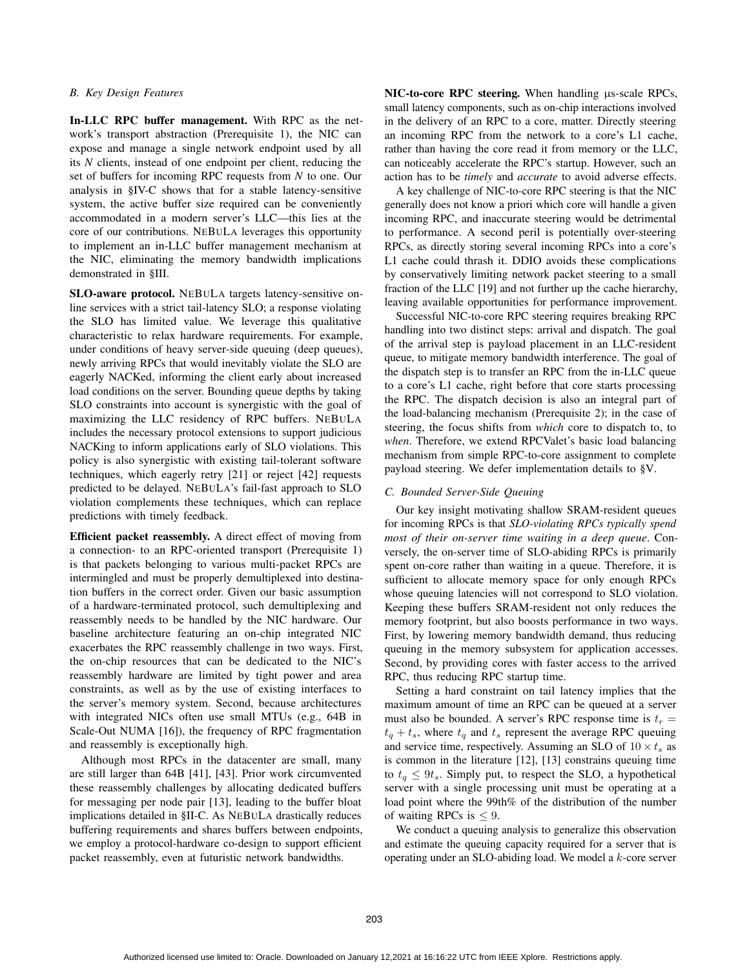## *B. Key Design Features*

In-LLC RPC buffer management. With RPC as the network's transport abstraction (Prerequisite 1), the NIC can expose and manage a single network endpoint used by all its *N* clients, instead of one endpoint per client, reducing the set of buffers for incoming RPC requests from *N* to one. Our analysis in §IV-C shows that for a stable latency-sensitive system, the active buffer size required can be conveniently accommodated in a modern server's LLC—this lies at the core of our contributions. NEBULA leverages this opportunity to implement an in-LLC buffer management mechanism at the NIC, eliminating the memory bandwidth implications demonstrated in §III.

SLO-aware protocol. NEBULA targets latency-sensitive online services with a strict tail-latency SLO; a response violating the SLO has limited value. We leverage this qualitative characteristic to relax hardware requirements. For example, under conditions of heavy server-side queuing (deep queues), newly arriving RPCs that would inevitably violate the SLO are eagerly NACKed, informing the client early about increased load conditions on the server. Bounding queue depths by taking SLO constraints into account is synergistic with the goal of maximizing the LLC residency of RPC buffers. NEBULA includes the necessary protocol extensions to support judicious NACKing to inform applications early of SLO violations. This policy is also synergistic with existing tail-tolerant software techniques, which eagerly retry [21] or reject [42] requests predicted to be delayed. NEBULA's fail-fast approach to SLO violation complements these techniques, which can replace predictions with timely feedback.

Efficient packet reassembly. A direct effect of moving from a connection- to an RPC-oriented transport (Prerequisite 1) is that packets belonging to various multi-packet RPCs are intermingled and must be properly demultiplexed into destination buffers in the correct order. Given our basic assumption of a hardware-terminated protocol, such demultiplexing and reassembly needs to be handled by the NIC hardware. Our baseline architecture featuring an on-chip integrated NIC exacerbates the RPC reassembly challenge in two ways. First, the on-chip resources that can be dedicated to the NIC's reassembly hardware are limited by tight power and area constraints, as well as by the use of existing interfaces to the server's memory system. Second, because architectures with integrated NICs often use small MTUs (e.g., 64B in Scale-Out NUMA [16]), the frequency of RPC fragmentation and reassembly is exceptionally high.

Although most RPCs in the datacenter are small, many are still larger than 64B [41], [43]. Prior work circumvented these reassembly challenges by allocating dedicated buffers for messaging per node pair [13], leading to the buffer bloat implications detailed in §II-C. As NEBULA drastically reduces buffering requirements and shares buffers between endpoints, we employ a protocol-hardware co-design to support efficient packet reassembly, even at futuristic network bandwidths.

NIC-to-core RPC steering. When handling μs-scale RPCs, small latency components, such as on-chip interactions involved in the delivery of an RPC to a core, matter. Directly steering an incoming RPC from the network to a core's L1 cache, rather than having the core read it from memory or the LLC, can noticeably accelerate the RPC's startup. However, such an action has to be *timely* and *accurate* to avoid adverse effects.

A key challenge of NIC-to-core RPC steering is that the NIC generally does not know a priori which core will handle a given incoming RPC, and inaccurate steering would be detrimental to performance. A second peril is potentially over-steering RPCs, as directly storing several incoming RPCs into a core's L1 cache could thrash it. DDIO avoids these complications by conservatively limiting network packet steering to a small fraction of the LLC [19] and not further up the cache hierarchy, leaving available opportunities for performance improvement.

Successful NIC-to-core RPC steering requires breaking RPC handling into two distinct steps: arrival and dispatch. The goal of the arrival step is payload placement in an LLC-resident queue, to mitigate memory bandwidth interference. The goal of the dispatch step is to transfer an RPC from the in-LLC queue to a core's L1 cache, right before that core starts processing the RPC. The dispatch decision is also an integral part of the load-balancing mechanism (Prerequisite 2); in the case of steering, the focus shifts from *which* core to dispatch to, to *when*. Therefore, we extend RPCValet's basic load balancing mechanism from simple RPC-to-core assignment to complete payload steering. We defer implementation details to §V.

## *C. Bounded Server-Side Queuing*

Our key insight motivating shallow SRAM-resident queues for incoming RPCs is that *SLO-violating RPCs typically spend most of their on-server time waiting in a deep queue*. Conversely, the on-server time of SLO-abiding RPCs is primarily spent on-core rather than waiting in a queue. Therefore, it is sufficient to allocate memory space for only enough RPCs whose queuing latencies will not correspond to SLO violation. Keeping these buffers SRAM-resident not only reduces the memory footprint, but also boosts performance in two ways. First, by lowering memory bandwidth demand, thus reducing queuing in the memory subsystem for application accesses. Second, by providing cores with faster access to the arrived RPC, thus reducing RPC startup time.

Setting a hard constraint on tail latency implies that the maximum amount of time an RPC can be queued at a server must also be bounded. A server's RPC response time is  $t_r =$  $t_q + t_s$ , where  $t_q$  and  $t_s$  represent the average RPC queuing and service time, respectively. Assuming an SLO of  $10 \times t_s$  as is common in the literature [12], [13] constrains queuing time to  $t_q \leq 9t_s$ . Simply put, to respect the SLO, a hypothetical server with a single processing unit must be operating at a load point where the 99th% of the distribution of the number of waiting RPCs is  $\leq 9$ .

We conduct a queuing analysis to generalize this observation and estimate the queuing capacity required for a server that is operating under an SLO-abiding load. We model a k-core server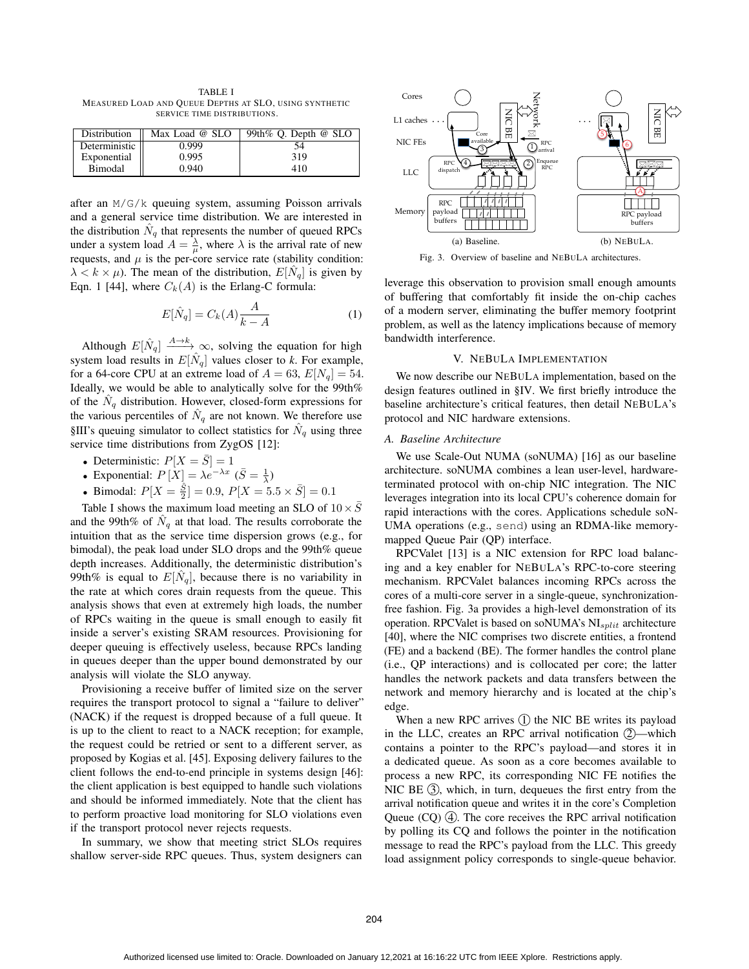TABLE I MEASURED LOAD AND QUEUE DEPTHS AT SLO, USING SYNTHETIC SERVICE TIME DISTRIBUTIONS.

| Distribution  | Max Load @ SLO | 99th% Q. Depth $@$ SLO |  |
|---------------|----------------|------------------------|--|
| Deterministic | 0.999          | 54                     |  |
| Exponential   | 0.995          | 319                    |  |
| Bimodal       | 0.940          | 410                    |  |

after an M/G/k queuing system, assuming Poisson arrivals and a general service time distribution. We are interested in the distribution  $N_q$  that represents the number of queued RPCs under a system load  $A = \frac{\lambda}{\mu}$ , where  $\lambda$  is the arrival rate of new requests, and  $\mu$  is the per-core service rate (stability condition:  $\lambda < k \times \mu$ ). The mean of the distribution,  $E[\hat{N}_q]$  is given by Eqn. 1 [44], where  $C_k(A)$  is the Erlang-C formula:

$$
E[\hat{N}_q] = C_k(A) \frac{A}{k - A} \tag{1}
$$

Although  $E[\hat{N}_q] \xrightarrow{A\to k} \infty$ , solving the equation for high system load results in  $E[\hat{N}_q]$  values closer to *k*. For example, for a 64-core CPU at an extreme load of  $A = 63$ ,  $E[N_q] = 54$ . Ideally, we would be able to analytically solve for the 99th% of the  $\hat{N}_q$  distribution. However, closed-form expressions for the various percentiles of  $N_q$  are not known. We therefore use §III's queuing simulator to collect statistics for  $\hat{N}_q$  using three service time distributions from ZygOS [12]:

- Deterministic:  $P[X = \overline{S}] = 1$ <br>• Exponential:  $P[X] = \lambda e^{-\lambda x}$
- Exponential:  $P[X] = \lambda e^{-\lambda x}$   $(\bar{S} = \frac{1}{\lambda})$
- Bimodal:  $P[X = \frac{\hat{S}}{2}] = 0.9, P[X = 5.5 \times \bar{S}] = 0.1$

Table I shows the maximum load meeting an SLO of  $10 \times \overline{S}$ and the 99th% of  $\tilde{N}_q$  at that load. The results corroborate the intuition that as the service time dispersion grows (e.g., for bimodal), the peak load under SLO drops and the 99th% queue depth increases. Additionally, the deterministic distribution's 99th% is equal to  $E[\hat{N}_q]$ , because there is no variability in the rate at which cores drain requests from the queue. This analysis shows that even at extremely high loads, the number of RPCs waiting in the queue is small enough to easily fit inside a server's existing SRAM resources. Provisioning for deeper queuing is effectively useless, because RPCs landing in queues deeper than the upper bound demonstrated by our analysis will violate the SLO anyway.

Provisioning a receive buffer of limited size on the server requires the transport protocol to signal a "failure to deliver" (NACK) if the request is dropped because of a full queue. It is up to the client to react to a NACK reception; for example, the request could be retried or sent to a different server, as proposed by Kogias et al. [45]. Exposing delivery failures to the client follows the end-to-end principle in systems design [46]: the client application is best equipped to handle such violations and should be informed immediately. Note that the client has to perform proactive load monitoring for SLO violations even if the transport protocol never rejects requests.

In summary, we show that meeting strict SLOs requires shallow server-side RPC queues. Thus, system designers can



Fig. 3. Overview of baseline and NEBULA architectures.

leverage this observation to provision small enough amounts of buffering that comfortably fit inside the on-chip caches of a modern server, eliminating the buffer memory footprint problem, as well as the latency implications because of memory bandwidth interference.

## V. NEBULA IMPLEMENTATION

We now describe our NEBULA implementation, based on the design features outlined in §IV. We first briefly introduce the baseline architecture's critical features, then detail NEBULA's protocol and NIC hardware extensions.

#### *A. Baseline Architecture*

We use Scale-Out NUMA (soNUMA) [16] as our baseline architecture. soNUMA combines a lean user-level, hardwareterminated protocol with on-chip NIC integration. The NIC leverages integration into its local CPU's coherence domain for rapid interactions with the cores. Applications schedule soN-UMA operations (e.g., send) using an RDMA-like memorymapped Queue Pair (QP) interface.

RPCValet [13] is a NIC extension for RPC load balancing and a key enabler for NEBULA's RPC-to-core steering mechanism. RPCValet balances incoming RPCs across the cores of a multi-core server in a single-queue, synchronizationfree fashion. Fig. 3a provides a high-level demonstration of its operation. RPCValet is based on soNUMA's  $NI<sub>split</sub>$  architecture [40], where the NIC comprises two discrete entities, a frontend (FE) and a backend (BE). The former handles the control plane (i.e., QP interactions) and is collocated per core; the latter handles the network packets and data transfers between the network and memory hierarchy and is located at the chip's edge.

When a new RPC arrives  $(1)$  the NIC BE writes its payload in the LLC, creates an RPC arrival notification  $2$ —which contains a pointer to the RPC's payload—and stores it in a dedicated queue. As soon as a core becomes available to process a new RPC, its corresponding NIC FE notifies the NIC BE  $(3)$ , which, in turn, dequeues the first entry from the arrival notification queue and writes it in the core's Completion Queue  $(CQ)$   $(\overline{4})$ . The core receives the RPC arrival notification by polling its CQ and follows the pointer in the notification message to read the RPC's payload from the LLC. This greedy load assignment policy corresponds to single-queue behavior.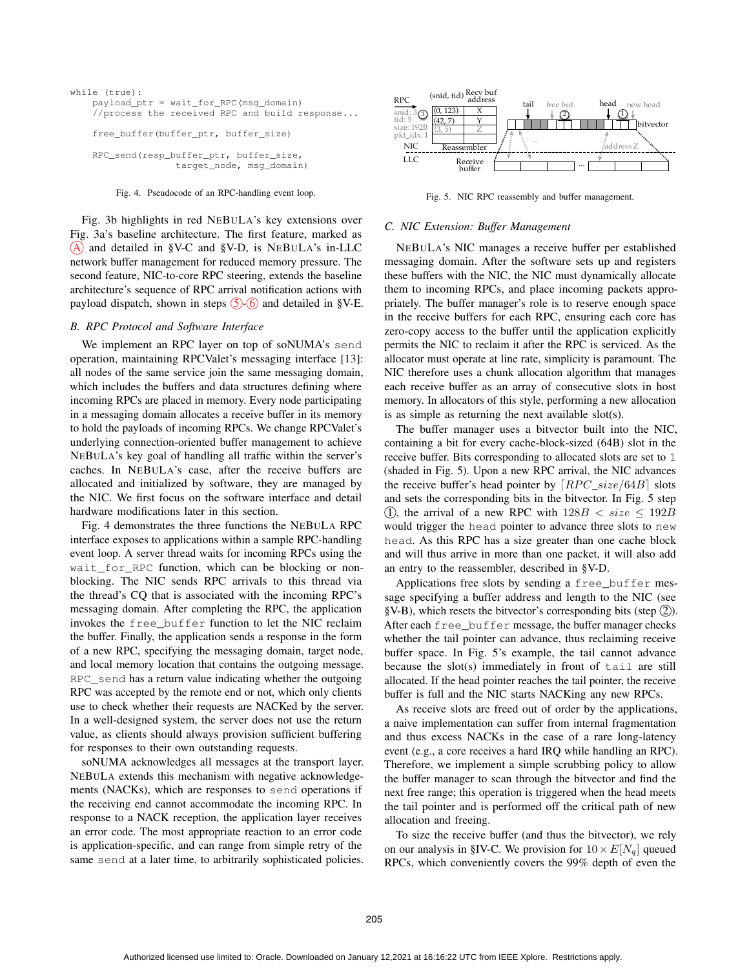```
while (true):
payload_ptr = wait_for_RPC(msg_domain)
//process the received RPC and build response...
free_buffer(buffer_ptr, buffer_size)
RPC_send(resp_buffer_ptr, buffer_size,
               target node, msg_domain)
```
#### Fig. 4. Pseudocode of an RPC-handling event loop.

Fig. 3b highlights in red NEBULA's key extensions over Fig. 3a's baseline architecture. The first feature, marked as  $(A)$  and detailed in §V-C and §V-D, is NEBULA's in-LLC network buffer management for reduced memory pressure. The second feature, NIC-to-core RPC steering, extends the baseline architecture's sequence of RPC arrival notification actions with payload dispatch, shown in steps  $\circled{5}$  6 and detailed in §V-E.

#### *B. RPC Protocol and Software Interface*

We implement an RPC layer on top of soNUMA's send operation, maintaining RPCValet's messaging interface [13]: all nodes of the same service join the same messaging domain, which includes the buffers and data structures defining where incoming RPCs are placed in memory. Every node participating in a messaging domain allocates a receive buffer in its memory to hold the payloads of incoming RPCs. We change RPCValet's underlying connection-oriented buffer management to achieve NEBULA's key goal of handling all traffic within the server's caches. In NEBULA's case, after the receive buffers are allocated and initialized by software, they are managed by the NIC. We first focus on the software interface and detail hardware modifications later in this section.

Fig. 4 demonstrates the three functions the NEBULA RPC interface exposes to applications within a sample RPC-handling event loop. A server thread waits for incoming RPCs using the wait\_for\_RPC function, which can be blocking or nonblocking. The NIC sends RPC arrivals to this thread via the thread's CQ that is associated with the incoming RPC's messaging domain. After completing the RPC, the application invokes the free\_buffer function to let the NIC reclaim the buffer. Finally, the application sends a response in the form of a new RPC, specifying the messaging domain, target node, and local memory location that contains the outgoing message. RPC\_send has a return value indicating whether the outgoing RPC was accepted by the remote end or not, which only clients use to check whether their requests are NACKed by the server. In a well-designed system, the server does not use the return value, as clients should always provision sufficient buffering for responses to their own outstanding requests.

soNUMA acknowledges all messages at the transport layer. NEBULA extends this mechanism with negative acknowledgements (NACKs), which are responses to send operations if the receiving end cannot accommodate the incoming RPC. In response to a NACK reception, the application layer receives an error code. The most appropriate reaction to an error code is application-specific, and can range from simple retry of the same send at a later time, to arbitrarily sophisticated policies.



Fig. 5. NIC RPC reassembly and buffer management.

#### *C. NIC Extension: Buffer Management*

NEBULA's NIC manages a receive buffer per established messaging domain. After the software sets up and registers these buffers with the NIC, the NIC must dynamically allocate them to incoming RPCs, and place incoming packets appropriately. The buffer manager's role is to reserve enough space in the receive buffers for each RPC, ensuring each core has zero-copy access to the buffer until the application explicitly permits the NIC to reclaim it after the RPC is serviced. As the allocator must operate at line rate, simplicity is paramount. The NIC therefore uses a chunk allocation algorithm that manages each receive buffer as an array of consecutive slots in host memory. In allocators of this style, performing a new allocation is as simple as returning the next available slot(s).

The buffer manager uses a bitvector built into the NIC, containing a bit for every cache-block-sized (64B) slot in the receive buffer. Bits corresponding to allocated slots are set to 1 (shaded in Fig. 5). Upon a new RPC arrival, the NIC advances the receive buffer's head pointer by  $[RPC\_size/64B]$  slots and sets the corresponding bits in the bitvector. In Fig. 5 step (1), the arrival of a new RPC with  $128B < size \le 192B$ would trigger the head pointer to advance three slots to new head. As this RPC has a size greater than one cache block and will thus arrive in more than one packet, it will also add an entry to the reassembler, described in §V-D.

Applications free slots by sending a free\_buffer message specifying a buffer address and length to the NIC (see §V-B), which resets the bitvector's corresponding bits (step  $(2)$ ). After each free\_buffer message, the buffer manager checks whether the tail pointer can advance, thus reclaiming receive buffer space. In Fig. 5's example, the tail cannot advance because the slot(s) immediately in front of tail are still allocated. If the head pointer reaches the tail pointer, the receive buffer is full and the NIC starts NACKing any new RPCs.

As receive slots are freed out of order by the applications, a naive implementation can suffer from internal fragmentation and thus excess NACKs in the case of a rare long-latency event (e.g., a core receives a hard IRQ while handling an RPC). Therefore, we implement a simple scrubbing policy to allow the buffer manager to scan through the bitvector and find the next free range; this operation is triggered when the head meets the tail pointer and is performed off the critical path of new allocation and freeing.

To size the receive buffer (and thus the bitvector), we rely on our analysis in §IV-C. We provision for  $10 \times E[N_q]$  queued RPCs, which conveniently covers the 99% depth of even the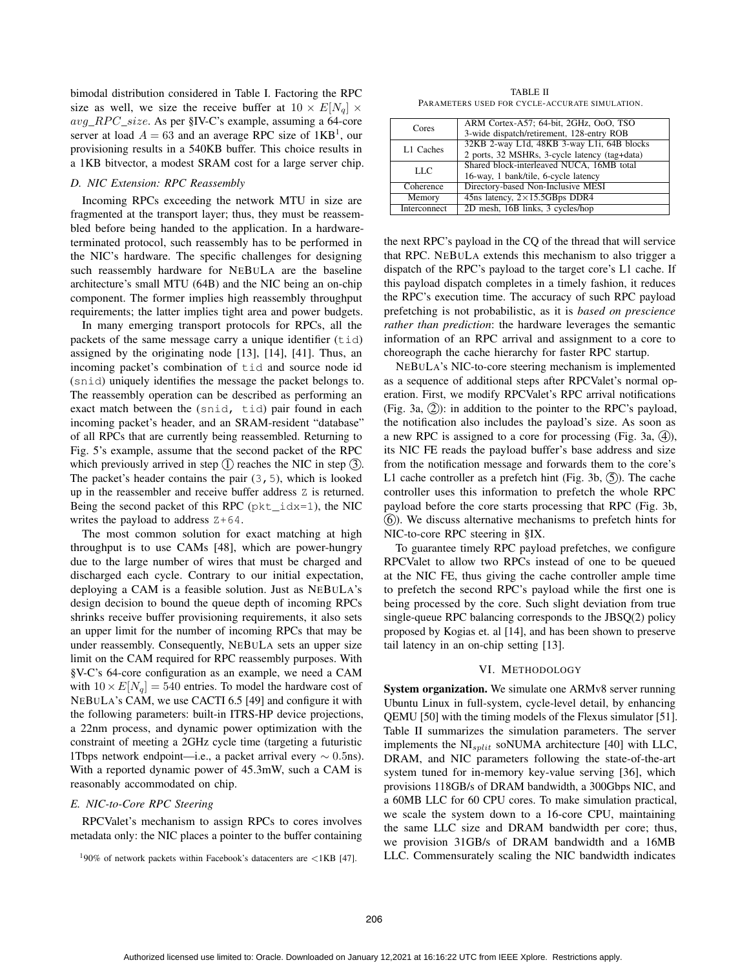bimodal distribution considered in Table I. Factoring the RPC size as well, we size the receive buffer at  $10 \times E[N_q] \times$ avg\_RPC\_size. As per §IV-C's example, assuming a 64-core server at load  $A = 63$  and an average RPC size of 1KB<sup>1</sup>, our provisioning results in a 540KB buffer. This choice results in a 1KB bitvector, a modest SRAM cost for a large server chip.

#### *D. NIC Extension: RPC Reassembly*

Incoming RPCs exceeding the network MTU in size are fragmented at the transport layer; thus, they must be reassembled before being handed to the application. In a hardwareterminated protocol, such reassembly has to be performed in the NIC's hardware. The specific challenges for designing such reassembly hardware for NEBULA are the baseline architecture's small MTU (64B) and the NIC being an on-chip component. The former implies high reassembly throughput requirements; the latter implies tight area and power budgets.

In many emerging transport protocols for RPCs, all the packets of the same message carry a unique identifier (tid) assigned by the originating node [13], [14], [41]. Thus, an incoming packet's combination of tid and source node id (snid) uniquely identifies the message the packet belongs to. The reassembly operation can be described as performing an exact match between the (snid, tid) pair found in each incoming packet's header, and an SRAM-resident "database" of all RPCs that are currently being reassembled. Returning to Fig. 5's example, assume that the second packet of the RPC which previously arrived in step  $(1)$  reaches the NIC in step  $(3)$ . The packet's header contains the pair  $(3, 5)$ , which is looked up in the reassembler and receive buffer address Z is returned. Being the second packet of this RPC ( $pkt_idx=1$ ), the NIC writes the payload to address  $Z+64$ .

The most common solution for exact matching at high throughput is to use CAMs [48], which are power-hungry due to the large number of wires that must be charged and discharged each cycle. Contrary to our initial expectation, deploying a CAM is a feasible solution. Just as NEBULA's design decision to bound the queue depth of incoming RPCs shrinks receive buffer provisioning requirements, it also sets an upper limit for the number of incoming RPCs that may be under reassembly. Consequently, NEBULA sets an upper size limit on the CAM required for RPC reassembly purposes. With §V-C's 64-core configuration as an example, we need a CAM with  $10 \times E[N_q] = 540$  entries. To model the hardware cost of NEBULA's CAM, we use CACTI 6.5 [49] and configure it with the following parameters: built-in ITRS-HP device projections, a 22nm process, and dynamic power optimization with the constraint of meeting a 2GHz cycle time (targeting a futuristic 1Tbps network endpoint—i.e., a packet arrival every  $\sim 0.5$ ns). With a reported dynamic power of 45.3mW, such a CAM is reasonably accommodated on chip.

## *E. NIC-to-Core RPC Steering*

RPCValet's mechanism to assign RPCs to cores involves metadata only: the NIC places a pointer to the buffer containing

TABLE II PARAMETERS USED FOR CYCLE-ACCURATE SIMULATION.

| Cores        | ARM Cortex-A57; 64-bit, 2GHz, OoO, TSO<br>3-wide dispatch/retirement, 128-entry ROB         |  |  |
|--------------|---------------------------------------------------------------------------------------------|--|--|
| L1 Caches    | 32KB 2-way L1d, 48KB 3-way L1i, 64B blocks<br>2 ports, 32 MSHRs, 3-cycle latency (tag+data) |  |  |
| LLC          | Shared block-interleaved NUCA, 16MB total<br>16-way, 1 bank/tile, 6-cycle latency           |  |  |
| Coherence    | Directory-based Non-Inclusive MESI                                                          |  |  |
| Memory       | 45ns latency, $2 \times 15.5$ GBps DDR4                                                     |  |  |
| Interconnect | 2D mesh, 16B links, 3 cycles/hop                                                            |  |  |

the next RPC's payload in the CQ of the thread that will service that RPC. NEBULA extends this mechanism to also trigger a dispatch of the RPC's payload to the target core's L1 cache. If this payload dispatch completes in a timely fashion, it reduces the RPC's execution time. The accuracy of such RPC payload prefetching is not probabilistic, as it is *based on prescience rather than prediction*: the hardware leverages the semantic information of an RPC arrival and assignment to a core to choreograph the cache hierarchy for faster RPC startup.

NEBULA's NIC-to-core steering mechanism is implemented as a sequence of additional steps after RPCValet's normal operation. First, we modify RPCValet's RPC arrival notifications (Fig. 3a,  $(2)$ ): in addition to the pointer to the RPC's payload, the notification also includes the payload's size. As soon as a new RPC is assigned to a core for processing (Fig. 3a,  $(4)$ ), its NIC FE reads the payload buffer's base address and size from the notification message and forwards them to the core's L1 cache controller as a prefetch hint (Fig. 3b,  $(5)$ ). The cache controller uses this information to prefetch the whole RPC payload before the core starts processing that RPC (Fig. 3b, 6 ). We discuss alternative mechanisms to prefetch hints for NIC-to-core RPC steering in §IX.

To guarantee timely RPC payload prefetches, we configure RPCValet to allow two RPCs instead of one to be queued at the NIC FE, thus giving the cache controller ample time to prefetch the second RPC's payload while the first one is being processed by the core. Such slight deviation from true single-queue RPC balancing corresponds to the JBSQ(2) policy proposed by Kogias et. al [14], and has been shown to preserve tail latency in an on-chip setting [13].

#### VI. METHODOLOGY

System organization. We simulate one ARMv8 server running Ubuntu Linux in full-system, cycle-level detail, by enhancing QEMU [50] with the timing models of the Flexus simulator [51]. Table II summarizes the simulation parameters. The server implements the  $NI_{split}$  soNUMA architecture [40] with LLC, DRAM, and NIC parameters following the state-of-the-art system tuned for in-memory key-value serving [36], which provisions 118GB/s of DRAM bandwidth, a 300Gbps NIC, and a 60MB LLC for 60 CPU cores. To make simulation practical, we scale the system down to a 16-core CPU, maintaining the same LLC size and DRAM bandwidth per core; thus, we provision 31GB/s of DRAM bandwidth and a 16MB LLC. Commensurately scaling the NIC bandwidth indicates

 $190\%$  of network packets within Facebook's datacenters are <1KB [47].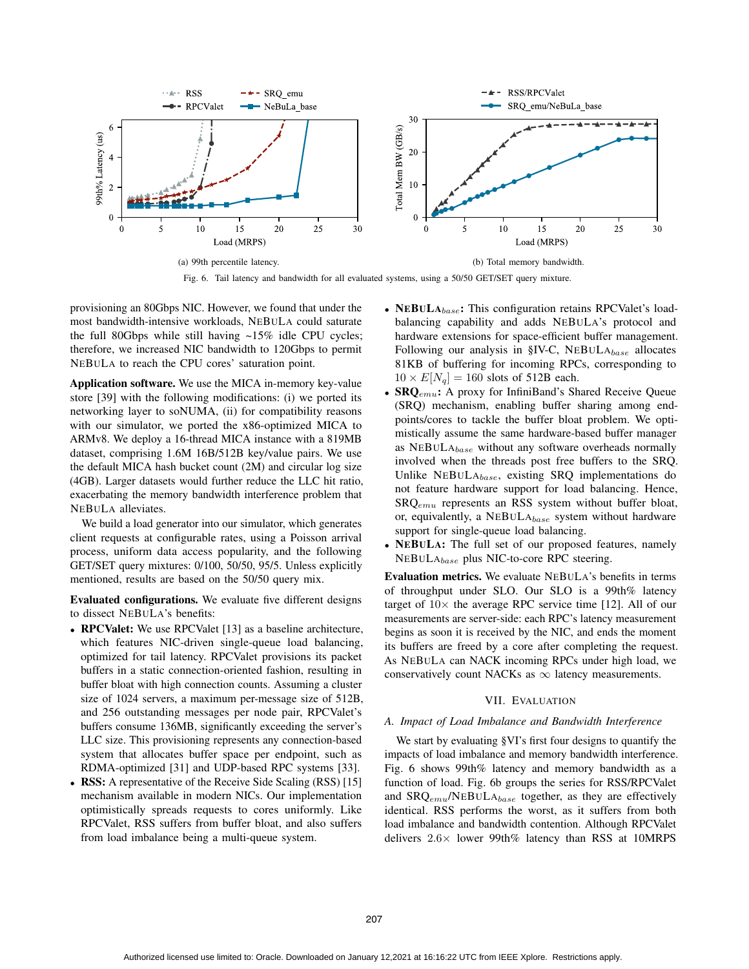

Fig. 6. Tail latency and bandwidth for all evaluated systems, using a 50/50 GET/SET query mixture.

provisioning an 80Gbps NIC. However, we found that under the most bandwidth-intensive workloads, NEBULA could saturate the full 80Gbps while still having ~15% idle CPU cycles; therefore, we increased NIC bandwidth to 120Gbps to permit NEBULA to reach the CPU cores' saturation point.

Application software. We use the MICA in-memory key-value store [39] with the following modifications: (i) we ported its networking layer to soNUMA, (ii) for compatibility reasons with our simulator, we ported the x86-optimized MICA to ARMv8. We deploy a 16-thread MICA instance with a 819MB dataset, comprising 1.6M 16B/512B key/value pairs. We use the default MICA hash bucket count (2M) and circular log size (4GB). Larger datasets would further reduce the LLC hit ratio, exacerbating the memory bandwidth interference problem that NEBULA alleviates.

We build a load generator into our simulator, which generates client requests at configurable rates, using a Poisson arrival process, uniform data access popularity, and the following GET/SET query mixtures: 0/100, 50/50, 95/5. Unless explicitly mentioned, results are based on the 50/50 query mix.

Evaluated configurations. We evaluate five different designs to dissect NEBULA's benefits:

- **RPCValet:** We use RPCValet [13] as a baseline architecture, which features NIC-driven single-queue load balancing, optimized for tail latency. RPCValet provisions its packet buffers in a static connection-oriented fashion, resulting in buffer bloat with high connection counts. Assuming a cluster size of 1024 servers, a maximum per-message size of 512B, and 256 outstanding messages per node pair, RPCValet's buffers consume 136MB, significantly exceeding the server's LLC size. This provisioning represents any connection-based system that allocates buffer space per endpoint, such as RDMA-optimized [31] and UDP-based RPC systems [33].
- RSS: A representative of the Receive Side Scaling (RSS) [15] mechanism available in modern NICs. Our implementation optimistically spreads requests to cores uniformly. Like RPCValet, RSS suffers from buffer bloat, and also suffers from load imbalance being a multi-queue system.
- NEBUL $A_{base}$ : This configuration retains RPCValet's loadbalancing capability and adds NEBULA's protocol and hardware extensions for space-efficient buffer management. Following our analysis in §IV-C,  $NEBULA_{base}$  allocates 81KB of buffering for incoming RPCs, corresponding to  $10 \times E[N_q] = 160$  slots of 512B each.
- $SRQ_{emu}$ : A proxy for InfiniBand's Shared Receive Queue (SRQ) mechanism, enabling buffer sharing among endpoints/cores to tackle the buffer bloat problem. We optimistically assume the same hardware-based buffer manager as  $NEBuLA<sub>base</sub>$  without any software overheads normally involved when the threads post free buffers to the SRQ. Unlike NEBULAbase, existing SRQ implementations do not feature hardware support for load balancing. Hence,  $S R Q_{emu}$  represents an RSS system without buffer bloat, or, equivalently, a NEBULAbase system without hardware support for single-queue load balancing.
- NEBULA: The full set of our proposed features, namely NEBULAbase plus NIC-to-core RPC steering.

Evaluation metrics. We evaluate NEBULA's benefits in terms of throughput under SLO. Our SLO is a 99th% latency target of  $10\times$  the average RPC service time [12]. All of our measurements are server-side: each RPC's latency measurement begins as soon it is received by the NIC, and ends the moment its buffers are freed by a core after completing the request. As NEBULA can NACK incoming RPCs under high load, we conservatively count NACKs as  $\infty$  latency measurements.

## VII. EVALUATION

## *A. Impact of Load Imbalance and Bandwidth Interference*

We start by evaluating §VI's first four designs to quantify the impacts of load imbalance and memory bandwidth interference. Fig. 6 shows 99th% latency and memory bandwidth as a function of load. Fig. 6b groups the series for RSS/RPCValet and  $SRQ_{emu}/NEBULA_{base}$  together, as they are effectively identical. RSS performs the worst, as it suffers from both load imbalance and bandwidth contention. Although RPCValet delivers <sup>2</sup>.6<sup>×</sup> lower 99th% latency than RSS at 10MRPS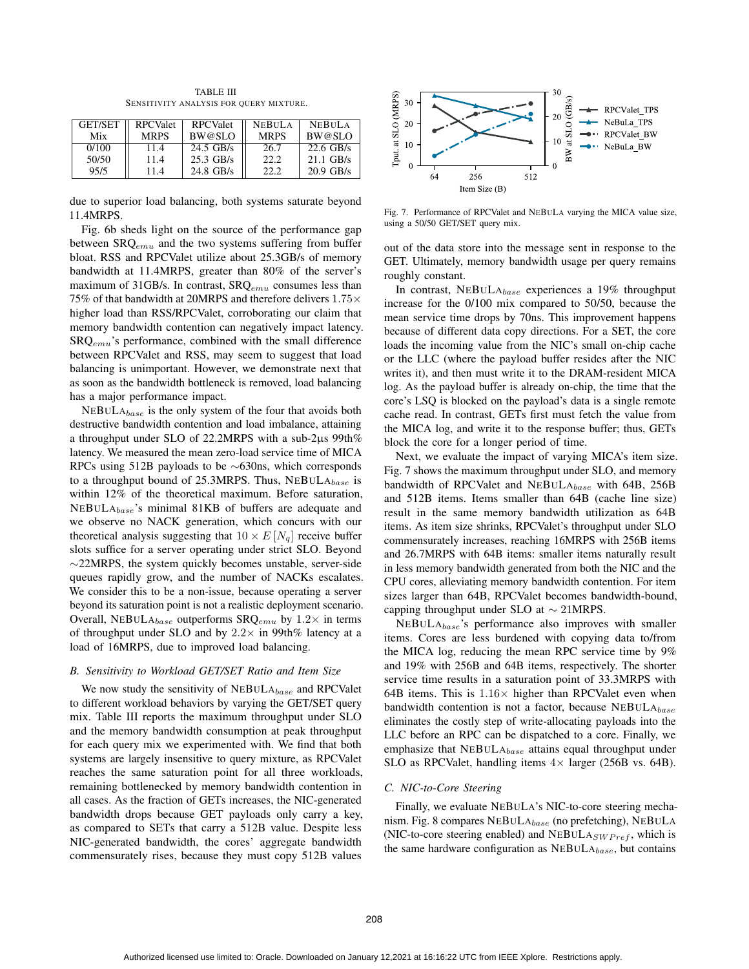| <b>GET/SET</b><br>Mix | <b>RPCValet</b><br><b>MRPS</b> | <b>RPCValet</b><br>BW@SLO | <b>NEBULA</b><br><b>MRPS</b> | <b>NEBULA</b><br>BW@SLO |
|-----------------------|--------------------------------|---------------------------|------------------------------|-------------------------|
| 0/100                 | 11.4                           | $24.5$ GB/s               | 26.7                         | $22.6$ GB/s             |
| 50/50                 | 11.4                           | $25.3$ GB/s               | 22.2                         | $21.1 \text{ GB/s}$     |
| 95/5                  | 11.4                           | $24.8$ GB/s               | 22.2                         | $20.9$ GB/s             |

TABLE III SENSITIVITY ANALYSIS FOR QUERY MIXTURE.

due to superior load balancing, both systems saturate beyond 11.4MRPS.

Fig. 6b sheds light on the source of the performance gap between  $SRQ_{emu}$  and the two systems suffering from buffer bloat. RSS and RPCValet utilize about 25.3GB/s of memory bandwidth at 11.4MRPS, greater than 80% of the server's maximum of 31GB/s. In contrast,  $SRQ_{emu}$  consumes less than 75% of that bandwidth at 20MRPS and therefore delivers  $1.75\times$ higher load than RSS/RPCValet, corroborating our claim that memory bandwidth contention can negatively impact latency.  $S R Q_{emu}$ 's performance, combined with the small difference between RPCValet and RSS, may seem to suggest that load balancing is unimportant. However, we demonstrate next that as soon as the bandwidth bottleneck is removed, load balancing has a major performance impact.

 $NEBULA_{base}$  is the only system of the four that avoids both destructive bandwidth contention and load imbalance, attaining a throughput under SLO of 22.2MRPS with a sub-2μs 99th% latency. We measured the mean zero-load service time of MICA RPCs using 512B payloads to be ∼630ns, which corresponds to a throughput bound of 25.3MRPS. Thus,  $NEBULA_{base}$  is within 12% of the theoretical maximum. Before saturation,  $NEBULA_{base}$ 's minimal 81KB of buffers are adequate and we observe no NACK generation, which concurs with our theoretical analysis suggesting that  $10 \times E[N_q]$  receive buffer slots suffice for a server operating under strict SLO. Beyond ∼22MRPS, the system quickly becomes unstable, server-side queues rapidly grow, and the number of NACKs escalates. We consider this to be a non-issue, because operating a server beyond its saturation point is not a realistic deployment scenario. Overall, NEBULA $_{base}$  outperforms SRQ<sub>emu</sub> by 1.2 $\times$  in terms of throughput under SLO and by  $2.2 \times$  in 99th% latency at a load of 16MRPS, due to improved load balancing.

#### *B. Sensitivity to Workload GET/SET Ratio and Item Size*

We now study the sensitivity of  $NEBULA_{base}$  and RPCValet to different workload behaviors by varying the GET/SET query mix. Table III reports the maximum throughput under SLO and the memory bandwidth consumption at peak throughput for each query mix we experimented with. We find that both systems are largely insensitive to query mixture, as RPCValet reaches the same saturation point for all three workloads, remaining bottlenecked by memory bandwidth contention in all cases. As the fraction of GETs increases, the NIC-generated bandwidth drops because GET payloads only carry a key, as compared to SETs that carry a 512B value. Despite less NIC-generated bandwidth, the cores' aggregate bandwidth commensurately rises, because they must copy 512B values



Fig. 7. Performance of RPCValet and NEBULA varying the MICA value size, using a 50/50 GET/SET query mix.

out of the data store into the message sent in response to the GET. Ultimately, memory bandwidth usage per query remains roughly constant.

In contrast, NEBULAbase experiences a 19% throughput increase for the 0/100 mix compared to 50/50, because the mean service time drops by 70ns. This improvement happens because of different data copy directions. For a SET, the core loads the incoming value from the NIC's small on-chip cache or the LLC (where the payload buffer resides after the NIC writes it), and then must write it to the DRAM-resident MICA log. As the payload buffer is already on-chip, the time that the core's LSQ is blocked on the payload's data is a single remote cache read. In contrast, GETs first must fetch the value from the MICA log, and write it to the response buffer; thus, GETs block the core for a longer period of time.

Next, we evaluate the impact of varying MICA's item size. Fig. 7 shows the maximum throughput under SLO, and memory bandwidth of RPCValet and NEBULAbase with 64B, 256B and 512B items. Items smaller than 64B (cache line size) result in the same memory bandwidth utilization as 64B items. As item size shrinks, RPCValet's throughput under SLO commensurately increases, reaching 16MRPS with 256B items and 26.7MRPS with 64B items: smaller items naturally result in less memory bandwidth generated from both the NIC and the CPU cores, alleviating memory bandwidth contention. For item sizes larger than 64B, RPCValet becomes bandwidth-bound, capping throughput under SLO at ∼ 21MRPS.

NEBULAbase's performance also improves with smaller items. Cores are less burdened with copying data to/from the MICA log, reducing the mean RPC service time by 9% and 19% with 256B and 64B items, respectively. The shorter service time results in a saturation point of 33.3MRPS with 64B items. This is  $1.16 \times$  higher than RPCValet even when bandwidth contention is not a factor, because  $NEBULA_{base}$ eliminates the costly step of write-allocating payloads into the LLC before an RPC can be dispatched to a core. Finally, we emphasize that  $NEBULA_{base}$  attains equal throughput under SLO as RPCValet, handling items  $4 \times$  larger (256B vs. 64B).

#### *C. NIC-to-Core Steering*

Finally, we evaluate NEBULA's NIC-to-core steering mechanism. Fig. 8 compares NEBULAbase (no prefetching), NEBULA (NIC-to-core steering enabled) and  $NEBULA<sub>SWPref</sub>$ , which is the same hardware configuration as  $NEBuLA_{base}$ , but contains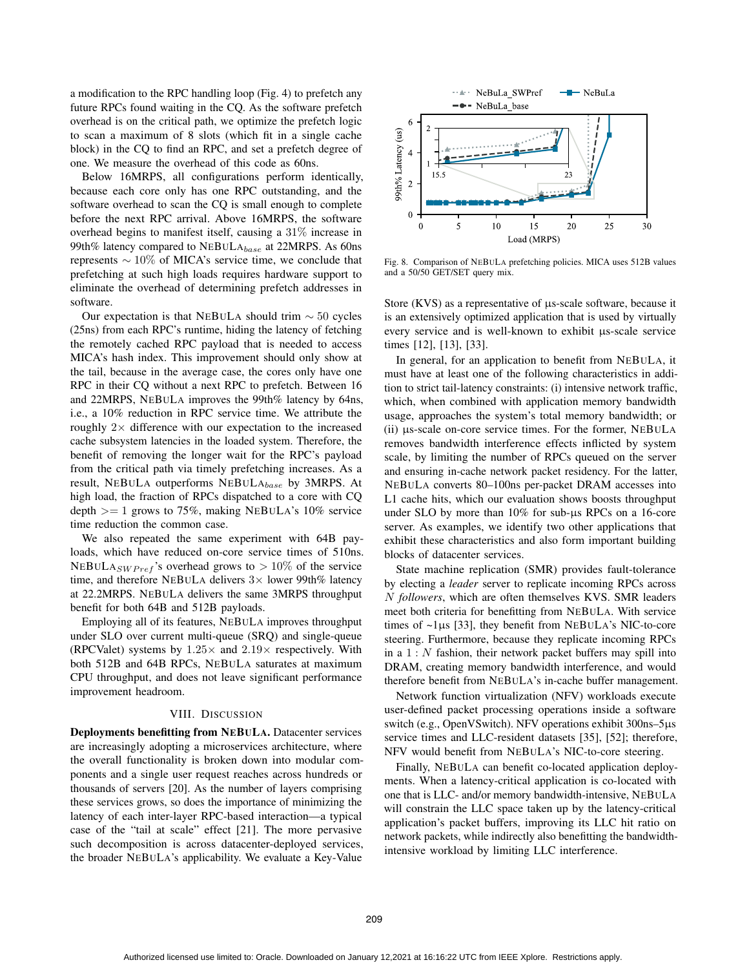a modification to the RPC handling loop (Fig. 4) to prefetch any future RPCs found waiting in the CQ. As the software prefetch overhead is on the critical path, we optimize the prefetch logic to scan a maximum of 8 slots (which fit in a single cache block) in the CQ to find an RPC, and set a prefetch degree of one. We measure the overhead of this code as 60ns.

Below 16MRPS, all configurations perform identically, because each core only has one RPC outstanding, and the software overhead to scan the CQ is small enough to complete before the next RPC arrival. Above 16MRPS, the software overhead begins to manifest itself, causing a 31% increase in 99th% latency compared to  $NEBULA_{base}$  at 22MRPS. As 60ns represents ∼ 10% of MICA's service time, we conclude that prefetching at such high loads requires hardware support to eliminate the overhead of determining prefetch addresses in software.

Our expectation is that NEBULA should trim ∼ 50 cycles (25ns) from each RPC's runtime, hiding the latency of fetching the remotely cached RPC payload that is needed to access MICA's hash index. This improvement should only show at the tail, because in the average case, the cores only have one RPC in their CQ without a next RPC to prefetch. Between 16 and 22MRPS, NEBULA improves the 99th% latency by 64ns, i.e., a 10% reduction in RPC service time. We attribute the roughly  $2 \times$  difference with our expectation to the increased cache subsystem latencies in the loaded system. Therefore, the benefit of removing the longer wait for the RPC's payload from the critical path via timely prefetching increases. As a result, NEBULA outperforms  $NEBULA_{base}$  by 3MRPS. At high load, the fraction of RPCs dispatched to a core with CQ depth  $>= 1$  grows to 75%, making NEBULA's 10% service time reduction the common case.

We also repeated the same experiment with 64B payloads, which have reduced on-core service times of 510ns. NEBULA<sub>SW Pref</sub>'s overhead grows to  $> 10\%$  of the service time, and therefore NEBULA delivers  $3 \times$  lower 99th% latency at 22.2MRPS. NEBULA delivers the same 3MRPS throughput benefit for both 64B and 512B payloads.

Employing all of its features, NEBULA improves throughput under SLO over current multi-queue (SRQ) and single-queue (RPCValet) systems by  $1.25 \times$  and  $2.19 \times$  respectively. With both 512B and 64B RPCs, NEBULA saturates at maximum CPU throughput, and does not leave significant performance improvement headroom.

## VIII. DISCUSSION

Deployments benefitting from NEBULA. Datacenter services are increasingly adopting a microservices architecture, where the overall functionality is broken down into modular components and a single user request reaches across hundreds or thousands of servers [20]. As the number of layers comprising these services grows, so does the importance of minimizing the latency of each inter-layer RPC-based interaction—a typical case of the "tail at scale" effect [21]. The more pervasive such decomposition is across datacenter-deployed services, the broader NEBULA's applicability. We evaluate a Key-Value



Fig. 8. Comparison of NEBULA prefetching policies. MICA uses 512B values and a 50/50 GET/SET query mix.

Store (KVS) as a representative of μs-scale software, because it is an extensively optimized application that is used by virtually every service and is well-known to exhibit μs-scale service times [12], [13], [33].

In general, for an application to benefit from NEBULA, it must have at least one of the following characteristics in addition to strict tail-latency constraints: (i) intensive network traffic, which, when combined with application memory bandwidth usage, approaches the system's total memory bandwidth; or (ii) μs-scale on-core service times. For the former, NEBULA removes bandwidth interference effects inflicted by system scale, by limiting the number of RPCs queued on the server and ensuring in-cache network packet residency. For the latter, NEBULA converts 80–100ns per-packet DRAM accesses into L1 cache hits, which our evaluation shows boosts throughput under SLO by more than 10% for sub-μs RPCs on a 16-core server. As examples, we identify two other applications that exhibit these characteristics and also form important building blocks of datacenter services.

State machine replication (SMR) provides fault-tolerance by electing a *leader* server to replicate incoming RPCs across N *followers*, which are often themselves KVS. SMR leaders meet both criteria for benefitting from NEBULA. With service times of ~1μs [33], they benefit from NEBULA's NIC-to-core steering. Furthermore, because they replicate incoming RPCs in a  $1: N$  fashion, their network packet buffers may spill into DRAM, creating memory bandwidth interference, and would therefore benefit from NEBULA's in-cache buffer management.

Network function virtualization (NFV) workloads execute user-defined packet processing operations inside a software switch (e.g., OpenVSwitch). NFV operations exhibit 300ns–5μs service times and LLC-resident datasets [35], [52]; therefore, NFV would benefit from NEBULA's NIC-to-core steering.

Finally, NEBULA can benefit co-located application deployments. When a latency-critical application is co-located with one that is LLC- and/or memory bandwidth-intensive, NEBULA will constrain the LLC space taken up by the latency-critical application's packet buffers, improving its LLC hit ratio on network packets, while indirectly also benefitting the bandwidthintensive workload by limiting LLC interference.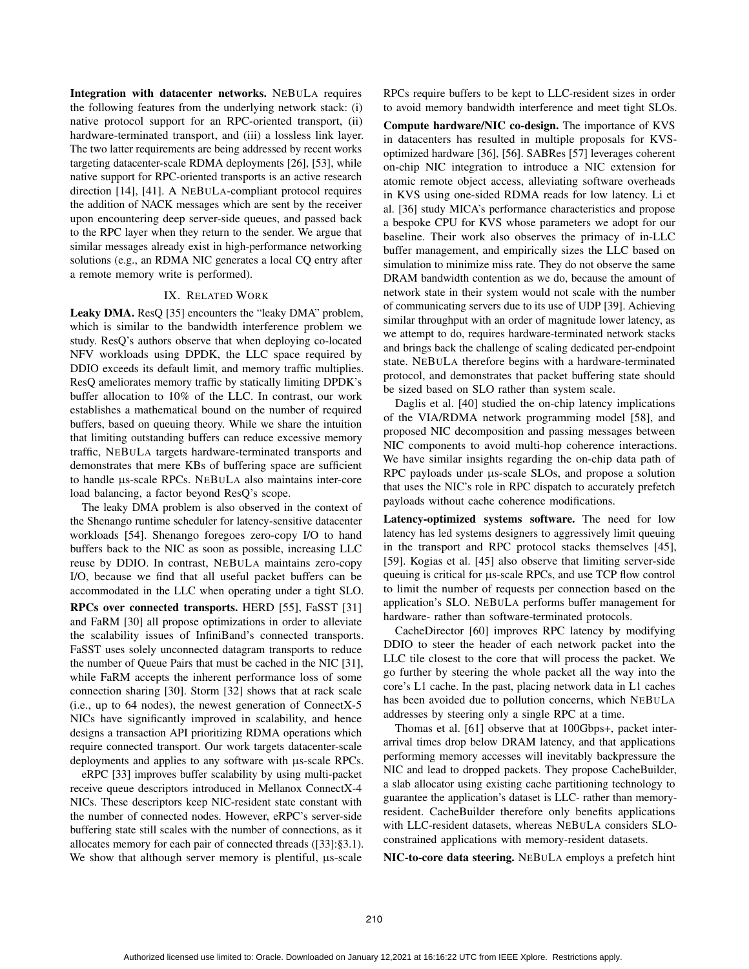Integration with datacenter networks. NEBULA requires the following features from the underlying network stack: (i) native protocol support for an RPC-oriented transport, (ii) hardware-terminated transport, and (iii) a lossless link layer. The two latter requirements are being addressed by recent works targeting datacenter-scale RDMA deployments [26], [53], while native support for RPC-oriented transports is an active research direction [14], [41]. A NEBULA-compliant protocol requires the addition of NACK messages which are sent by the receiver upon encountering deep server-side queues, and passed back to the RPC layer when they return to the sender. We argue that similar messages already exist in high-performance networking solutions (e.g., an RDMA NIC generates a local CQ entry after a remote memory write is performed).

## IX. RELATED WORK

Leaky DMA. ResQ [35] encounters the "leaky DMA" problem, which is similar to the bandwidth interference problem we study. ResQ's authors observe that when deploying co-located NFV workloads using DPDK, the LLC space required by DDIO exceeds its default limit, and memory traffic multiplies. ResQ ameliorates memory traffic by statically limiting DPDK's buffer allocation to 10% of the LLC. In contrast, our work establishes a mathematical bound on the number of required buffers, based on queuing theory. While we share the intuition that limiting outstanding buffers can reduce excessive memory traffic, NEBULA targets hardware-terminated transports and demonstrates that mere KBs of buffering space are sufficient to handle μs-scale RPCs. NEBULA also maintains inter-core load balancing, a factor beyond ResQ's scope.

The leaky DMA problem is also observed in the context of the Shenango runtime scheduler for latency-sensitive datacenter workloads [54]. Shenango foregoes zero-copy I/O to hand buffers back to the NIC as soon as possible, increasing LLC reuse by DDIO. In contrast, NEBULA maintains zero-copy I/O, because we find that all useful packet buffers can be accommodated in the LLC when operating under a tight SLO. RPCs over connected transports. HERD [55], FaSST [31] and FaRM [30] all propose optimizations in order to alleviate the scalability issues of InfiniBand's connected transports. FaSST uses solely unconnected datagram transports to reduce the number of Queue Pairs that must be cached in the NIC [31], while FaRM accepts the inherent performance loss of some connection sharing [30]. Storm [32] shows that at rack scale (i.e., up to 64 nodes), the newest generation of ConnectX-5 NICs have significantly improved in scalability, and hence designs a transaction API prioritizing RDMA operations which require connected transport. Our work targets datacenter-scale deployments and applies to any software with μs-scale RPCs.

eRPC [33] improves buffer scalability by using multi-packet receive queue descriptors introduced in Mellanox ConnectX-4 NICs. These descriptors keep NIC-resident state constant with the number of connected nodes. However, eRPC's server-side buffering state still scales with the number of connections, as it allocates memory for each pair of connected threads ([33]:§3.1). We show that although server memory is plentiful, μs-scale

RPCs require buffers to be kept to LLC-resident sizes in order to avoid memory bandwidth interference and meet tight SLOs.

Compute hardware/NIC co-design. The importance of KVS in datacenters has resulted in multiple proposals for KVSoptimized hardware [36], [56]. SABRes [57] leverages coherent on-chip NIC integration to introduce a NIC extension for atomic remote object access, alleviating software overheads in KVS using one-sided RDMA reads for low latency. Li et al. [36] study MICA's performance characteristics and propose a bespoke CPU for KVS whose parameters we adopt for our baseline. Their work also observes the primacy of in-LLC buffer management, and empirically sizes the LLC based on simulation to minimize miss rate. They do not observe the same DRAM bandwidth contention as we do, because the amount of network state in their system would not scale with the number of communicating servers due to its use of UDP [39]. Achieving similar throughput with an order of magnitude lower latency, as we attempt to do, requires hardware-terminated network stacks and brings back the challenge of scaling dedicated per-endpoint state. NEBULA therefore begins with a hardware-terminated protocol, and demonstrates that packet buffering state should be sized based on SLO rather than system scale.

Daglis et al. [40] studied the on-chip latency implications of the VIA/RDMA network programming model [58], and proposed NIC decomposition and passing messages between NIC components to avoid multi-hop coherence interactions. We have similar insights regarding the on-chip data path of RPC payloads under μs-scale SLOs, and propose a solution that uses the NIC's role in RPC dispatch to accurately prefetch payloads without cache coherence modifications.

Latency-optimized systems software. The need for low latency has led systems designers to aggressively limit queuing in the transport and RPC protocol stacks themselves [45], [59]. Kogias et al. [45] also observe that limiting server-side queuing is critical for μs-scale RPCs, and use TCP flow control to limit the number of requests per connection based on the application's SLO. NEBULA performs buffer management for hardware- rather than software-terminated protocols.

CacheDirector [60] improves RPC latency by modifying DDIO to steer the header of each network packet into the LLC tile closest to the core that will process the packet. We go further by steering the whole packet all the way into the core's L1 cache. In the past, placing network data in L1 caches has been avoided due to pollution concerns, which NEBULA addresses by steering only a single RPC at a time.

Thomas et al. [61] observe that at 100Gbps+, packet interarrival times drop below DRAM latency, and that applications performing memory accesses will inevitably backpressure the NIC and lead to dropped packets. They propose CacheBuilder, a slab allocator using existing cache partitioning technology to guarantee the application's dataset is LLC- rather than memoryresident. CacheBuilder therefore only benefits applications with LLC-resident datasets, whereas NEBULA considers SLOconstrained applications with memory-resident datasets.

NIC-to-core data steering. NEBULA employs a prefetch hint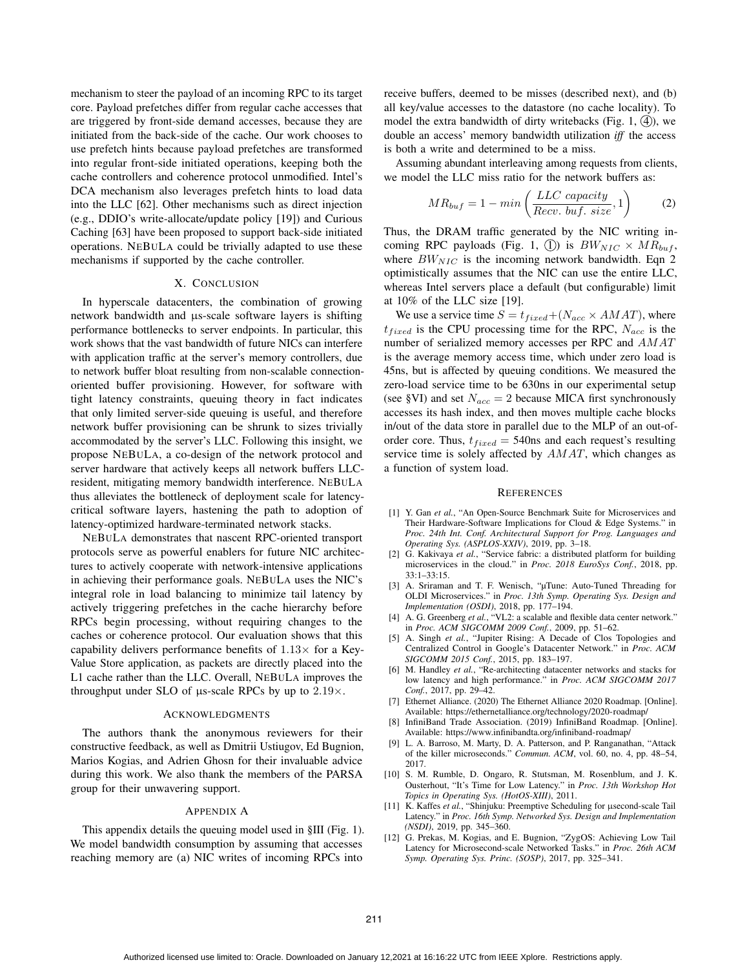mechanism to steer the payload of an incoming RPC to its target core. Payload prefetches differ from regular cache accesses that are triggered by front-side demand accesses, because they are initiated from the back-side of the cache. Our work chooses to use prefetch hints because payload prefetches are transformed into regular front-side initiated operations, keeping both the cache controllers and coherence protocol unmodified. Intel's DCA mechanism also leverages prefetch hints to load data into the LLC [62]. Other mechanisms such as direct injection (e.g., DDIO's write-allocate/update policy [19]) and Curious Caching [63] have been proposed to support back-side initiated operations. NEBULA could be trivially adapted to use these mechanisms if supported by the cache controller.

## X. CONCLUSION

In hyperscale datacenters, the combination of growing network bandwidth and μs-scale software layers is shifting performance bottlenecks to server endpoints. In particular, this work shows that the vast bandwidth of future NICs can interfere with application traffic at the server's memory controllers, due to network buffer bloat resulting from non-scalable connectionoriented buffer provisioning. However, for software with tight latency constraints, queuing theory in fact indicates that only limited server-side queuing is useful, and therefore network buffer provisioning can be shrunk to sizes trivially accommodated by the server's LLC. Following this insight, we propose NEBULA, a co-design of the network protocol and server hardware that actively keeps all network buffers LLCresident, mitigating memory bandwidth interference. NEBULA thus alleviates the bottleneck of deployment scale for latencycritical software layers, hastening the path to adoption of latency-optimized hardware-terminated network stacks.

NEBULA demonstrates that nascent RPC-oriented transport protocols serve as powerful enablers for future NIC architectures to actively cooperate with network-intensive applications in achieving their performance goals. NEBULA uses the NIC's integral role in load balancing to minimize tail latency by actively triggering prefetches in the cache hierarchy before RPCs begin processing, without requiring changes to the caches or coherence protocol. Our evaluation shows that this capability delivers performance benefits of  $1.13\times$  for a Key-Value Store application, as packets are directly placed into the L1 cache rather than the LLC. Overall, NEBULA improves the throughput under SLO of  $\mu$ s-scale RPCs by up to 2.19 $\times$ .

## ACKNOWLEDGMENTS

The authors thank the anonymous reviewers for their constructive feedback, as well as Dmitrii Ustiugov, Ed Bugnion, Marios Kogias, and Adrien Ghosn for their invaluable advice during this work. We also thank the members of the PARSA group for their unwavering support.

#### APPENDIX A

This appendix details the queuing model used in §III (Fig. 1). We model bandwidth consumption by assuming that accesses reaching memory are (a) NIC writes of incoming RPCs into receive buffers, deemed to be misses (described next), and (b) all key/value accesses to the datastore (no cache locality). To model the extra bandwidth of dirty writebacks (Fig. 1,  $(4)$ ), we double an access' memory bandwidth utilization *iff* the access is both a write and determined to be a miss.

Assuming abundant interleaving among requests from clients, we model the LLC miss ratio for the network buffers as:

$$
MR_{buf} = 1 - min\left(\frac{LLC\ capacity}{Recv.\ but.\ size}, 1\right) \tag{2}
$$

Thus, the DRAM traffic generated by the NIC writing incoming RPC payloads (Fig. 1, 1) is  $BW_{NIC} \times MR_{buf}$ , where  $BW_{NIC}$  is the incoming network bandwidth. Eqn 2 optimistically assumes that the NIC can use the entire LLC, whereas Intel servers place a default (but configurable) limit at 10% of the LLC size [19].

We use a service time  $S = t_{fixed} + (N_{acc} \times AMAT)$ , where  $t_{fixed}$  is the CPU processing time for the RPC,  $N_{acc}$  is the number of serialized memory accesses per RPC and AMAT is the average memory access time, which under zero load is 45ns, but is affected by queuing conditions. We measured the zero-load service time to be 630ns in our experimental setup (see §VI) and set  $N_{acc} = 2$  because MICA first synchronously accesses its hash index, and then moves multiple cache blocks in/out of the data store in parallel due to the MLP of an out-oforder core. Thus,  $t_{fixed} = 540$ ns and each request's resulting service time is solely affected by  $AMAT$ , which changes as a function of system load.

#### **REFERENCES**

- [1] Y. Gan *et al.*, "An Open-Source Benchmark Suite for Microservices and Their Hardware-Software Implications for Cloud & Edge Systems." in *Proc. 24th Int. Conf. Architectural Support for Prog. Languages and Operating Sys. (ASPLOS-XXIV)*, 2019, pp. 3–18.
- [2] G. Kakivaya *et al.*, "Service fabric: a distributed platform for building microservices in the cloud." in *Proc. 2018 EuroSys Conf.*, 2018, pp. 33:1–33:15.
- [3] A. Sriraman and T. F. Wenisch, "μTune: Auto-Tuned Threading for OLDI Microservices." in *Proc. 13th Symp. Operating Sys. Design and Implementation (OSDI)*, 2018, pp. 177–194.
- [4] A. G. Greenberg *et al.*, "VL2: a scalable and flexible data center network." in *Proc. ACM SIGCOMM 2009 Conf.*, 2009, pp. 51–62.
- [5] A. Singh *et al.*, "Jupiter Rising: A Decade of Clos Topologies and Centralized Control in Google's Datacenter Network." in *Proc. ACM SIGCOMM 2015 Conf.*, 2015, pp. 183–197.
- [6] M. Handley *et al.*, "Re-architecting datacenter networks and stacks for low latency and high performance." in *Proc. ACM SIGCOMM 2017 Conf.*, 2017, pp. 29–42.
- [7] Ethernet Alliance. (2020) The Ethernet Alliance 2020 Roadmap. [Online]. Available: https://ethernetalliance.org/technology/2020-roadmap/
- [8] InfiniBand Trade Association. (2019) InfiniBand Roadmap. [Online]. Available: https://www.infinibandta.org/infiniband-roadmap/
- [9] L. A. Barroso, M. Marty, D. A. Patterson, and P. Ranganathan, "Attack of the killer microseconds." *Commun. ACM*, vol. 60, no. 4, pp. 48–54, 2017.
- [10] S. M. Rumble, D. Ongaro, R. Stutsman, M. Rosenblum, and J. K. Ousterhout, "It's Time for Low Latency." in *Proc. 13th Workshop Hot Topics in Operating Sys. (HotOS-XIII)*, 2011.
- [11] K. Kaffes *et al.*, "Shinjuku: Preemptive Scheduling for μsecond-scale Tail Latency." in *Proc. 16th Symp. Networked Sys. Design and Implementation (NSDI)*, 2019, pp. 345–360.
- [12] G. Prekas, M. Kogias, and E. Bugnion, "ZygOS: Achieving Low Tail Latency for Microsecond-scale Networked Tasks." in *Proc. 26th ACM Symp. Operating Sys. Princ. (SOSP)*, 2017, pp. 325–341.